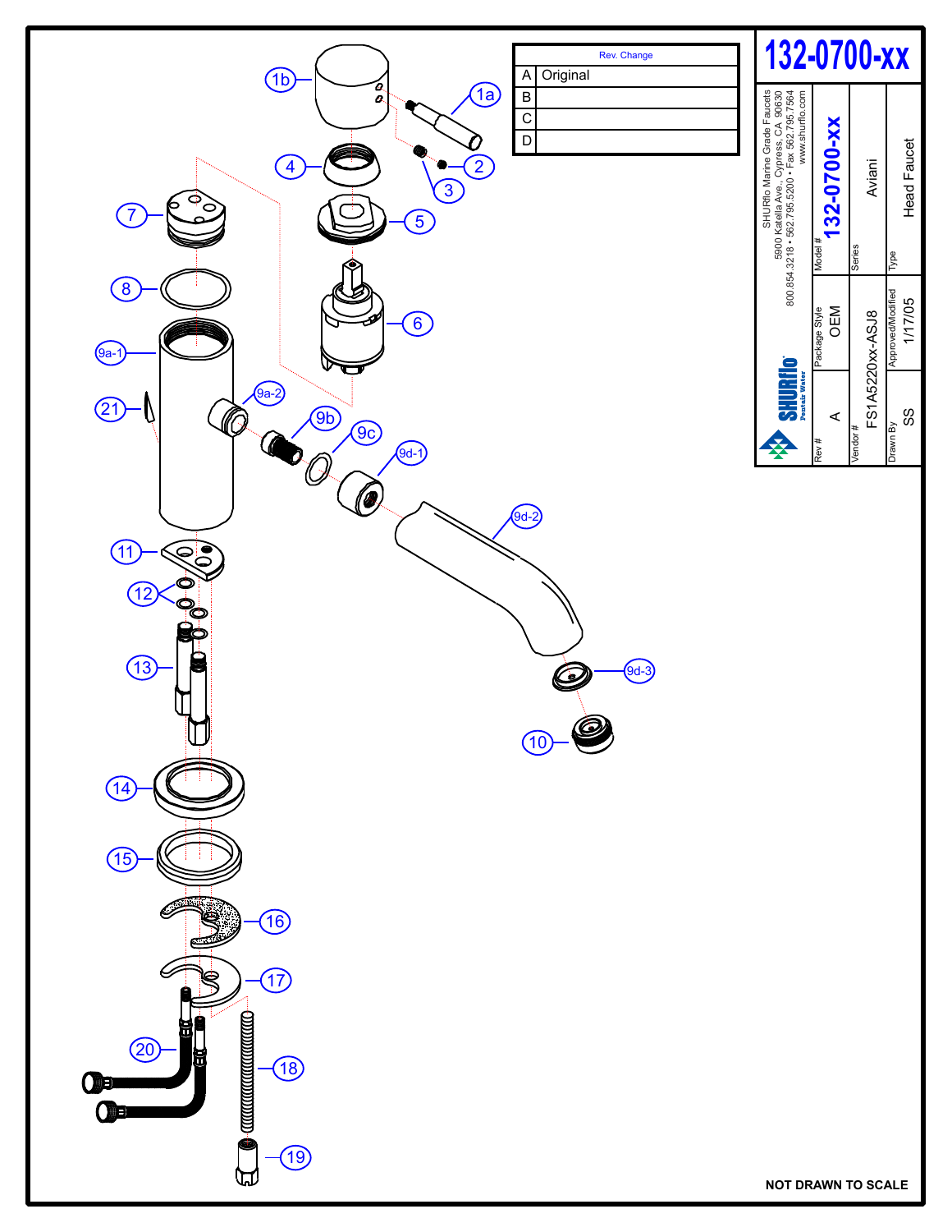